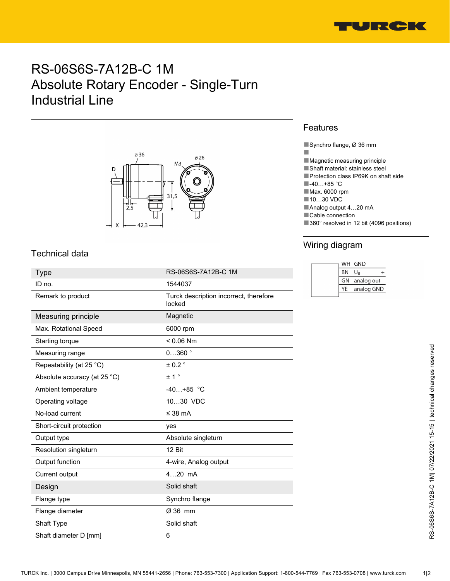

# RS-06S6S-7A12B-C 1M Absolute Rotary Encoder - Single-Turn Industrial Line



## Technical data

| <b>Type</b>                  | RS-06S6S-7A12B-C 1M                              | <b>BN</b><br>$U_B$<br>$^{+}$         |
|------------------------------|--------------------------------------------------|--------------------------------------|
| ID no.                       | 1544037                                          | GN<br>analog out<br>YE<br>analog GND |
| Remark to product            | Turck description incorrect, therefore<br>locked |                                      |
| Measuring principle          | Magnetic                                         |                                      |
| Max. Rotational Speed        | 6000 rpm                                         |                                      |
| Starting torque              | $< 0.06$ Nm                                      |                                      |
| Measuring range              | $0360$ $^{\circ}$                                |                                      |
| Repeatability (at 25 °C)     | $± 0.2$ °                                        |                                      |
| Absolute accuracy (at 25 °C) | ± 1°                                             |                                      |
| Ambient temperature          | $-40+85$ °C                                      |                                      |
| Operating voltage            | 1030 VDC                                         |                                      |
| No-load current              | ≤ 38 $mA$                                        |                                      |
| Short-circuit protection     | ves                                              |                                      |
| Output type                  | Absolute singleturn                              |                                      |
| Resolution singleturn        | 12 Bit                                           |                                      |
| Output function              | 4-wire, Analog output                            |                                      |
| Current output               | 420 mA                                           |                                      |
| Design                       | Solid shaft                                      |                                      |
| Flange type                  | Synchro flange                                   |                                      |
| Flange diameter              | Ø 36 mm                                          |                                      |
| Shaft Type                   | Solid shaft                                      |                                      |
| Shaft diameter D [mm]        | 6                                                |                                      |

#### Features

■

■Synchro flange, Ø 36 mm

- ■Magnetic measuring principle
- ■Shaft material: stainless steel
- ■Protection class IP69K on shaft side
- ■-40…+85 °C
- ■Max. 6000 rpm
- ■10…30 VDC
- ■Analog output 4...20 mA
- ■Cable connection
- ■360° resolved in 12 bit (4096 positions)

### Wiring diagram

|    | WH GND           |
|----|------------------|
| BN | $U_{\mathsf{R}}$ |
| GN | analog out       |
| YF | analog GND       |
|    |                  |